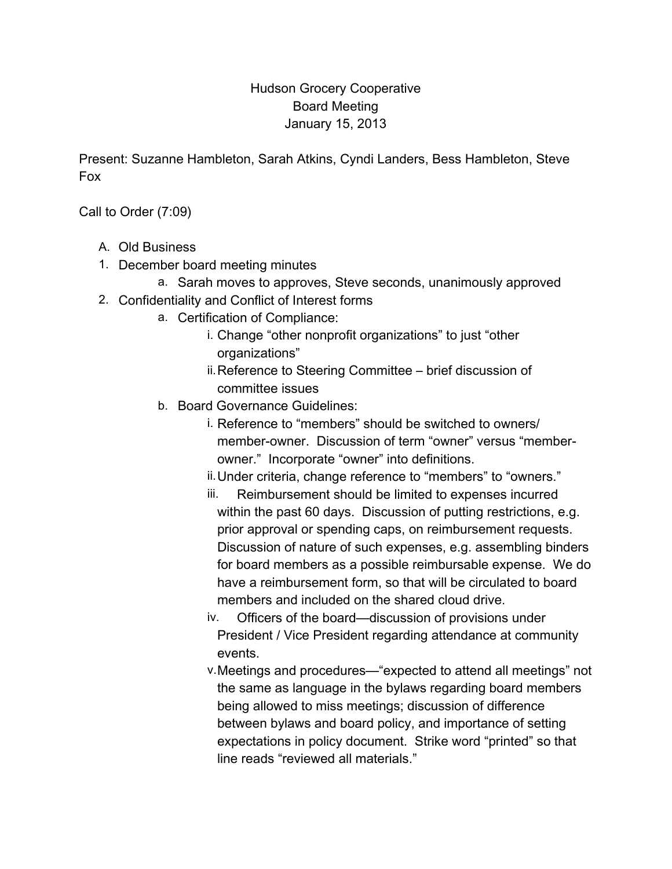## Hudson Grocery Cooperative Board Meeting January 15, 2013

Present: Suzanne Hambleton, Sarah Atkins, Cyndi Landers, Bess Hambleton, Steve Fox

Call to Order (7:09)

- A. Old Business
- 1. December board meeting minutes
	- a. Sarah moves to approves, Steve seconds, unanimously approved
- 2. Confidentiality and Conflict of Interest forms
	- a. Certification of Compliance:
		- i. Change "other nonprofit organizations" to just "other organizations"
		- ii.Reference to Steering Committee brief discussion of committee issues
	- b. Board Governance Guidelines:
		- i. Reference to "members" should be switched to owners/ member-owner. Discussion of term "owner" versus "memberowner." Incorporate "owner" into definitions.
		- ii.Under criteria, change reference to "members" to "owners."
		- iii. Reimbursement should be limited to expenses incurred within the past 60 days. Discussion of putting restrictions, e.g. prior approval or spending caps, on reimbursement requests. Discussion of nature of such expenses, e.g. assembling binders for board members as a possible reimbursable expense. We do have a reimbursement form, so that will be circulated to board members and included on the shared cloud drive.
		- iv. Officers of the board—discussion of provisions under President / Vice President regarding attendance at community events.
		- v.Meetings and procedures—"expected to attend all meetings" not the same as language in the bylaws regarding board members being allowed to miss meetings; discussion of difference between bylaws and board policy, and importance of setting expectations in policy document. Strike word "printed" so that line reads "reviewed all materials."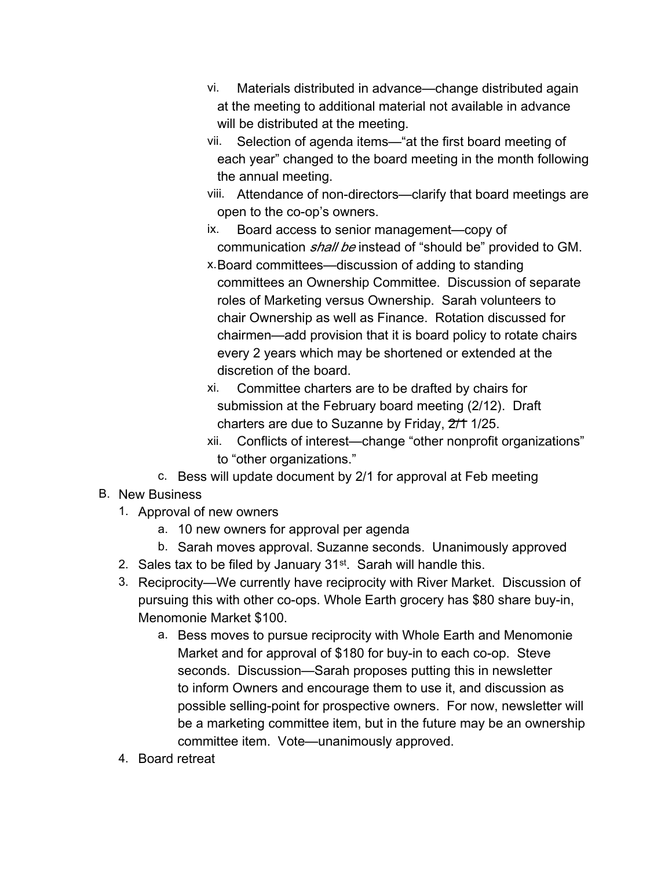- vi. Materials distributed in advance—change distributed again at the meeting to additional material not available in advance will be distributed at the meeting.
- vii. Selection of agenda items—"at the first board meeting of each year" changed to the board meeting in the month following the annual meeting.
- viii. Attendance of non-directors—clarify that board meetings are open to the co-op's owners.
- ix. Board access to senior management—copy of communication *shall be* instead of "should be" provided to GM.
- x.Board committees—discussion of adding to standing committees an Ownership Committee. Discussion of separate roles of Marketing versus Ownership. Sarah volunteers to chair Ownership as well as Finance. Rotation discussed for chairmen—add provision that it is board policy to rotate chairs every 2 years which may be shortened or extended at the discretion of the board.
- xi. Committee charters are to be drafted by chairs for submission at the February board meeting (2/12). Draft charters are due to Suzanne by Friday,  $2/11/25$ .
- xii. Conflicts of interest—change "other nonprofit organizations" to "other organizations."
- c. Bess will update document by 2/1 for approval at Feb meeting
- B. New Business
	- 1. Approval of new owners
		- a. 10 new owners for approval per agenda
		- b. Sarah moves approval. Suzanne seconds. Unanimously approved
	- 2. Sales tax to be filed by January 31<sup>st</sup>. Sarah will handle this.
	- 3. Reciprocity—We currently have reciprocity with River Market. Discussion of pursuing this with other co-ops. Whole Earth grocery has \$80 share buy-in, Menomonie Market \$100.
		- a. Bess moves to pursue reciprocity with Whole Earth and Menomonie Market and for approval of \$180 for buy-in to each co-op. Steve seconds. Discussion—Sarah proposes putting this in newsletter to inform Owners and encourage them to use it, and discussion as possible selling-point for prospective owners. For now, newsletter will be a marketing committee item, but in the future may be an ownership committee item. Vote—unanimously approved.
	- 4. Board retreat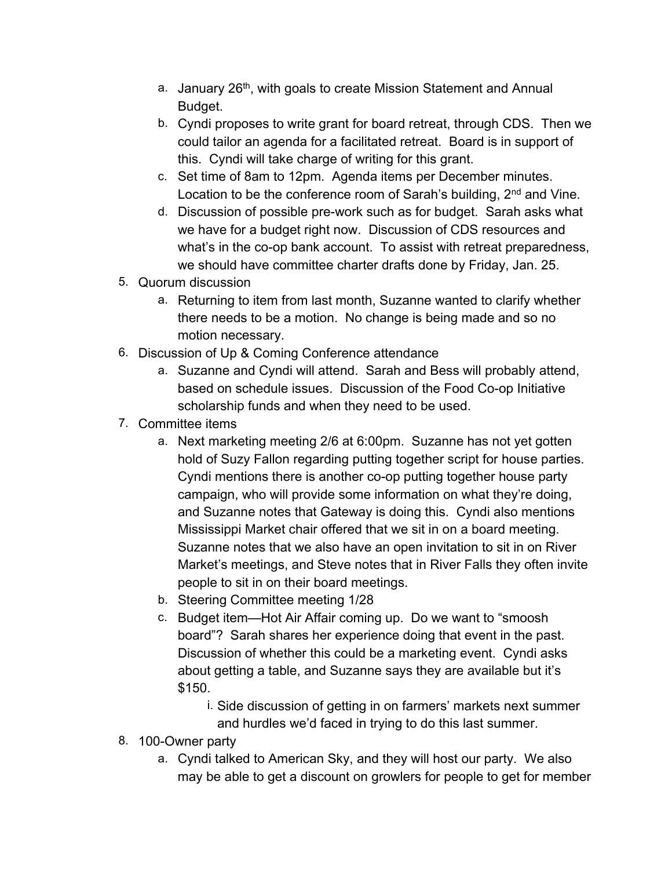- a. January 26<sup>th</sup>, with goals to create Mission Statement and Annual Budget.
- b. Cyndi proposes to write grant for board retreat, through CDS. Then we could tailor an agenda for a facilitated retreat. Board is in support of this. Cyndi will take charge of writing for this grant.
- c. Set time of 8am to 12pm. Agenda items per December minutes. Location to be the conference room of Sarah's building, 2<sup>nd</sup> and Vine.
- d. Discussion of possible pre-work such as for budget. Sarah asks what we have for a budget right now. Discussion of CDS resources and what's in the co-op bank account. To assist with retreat preparedness, we should have committee charter drafts done by Friday, Jan. 25.
- 5. Quorum discussion
	- a. Returning to item from last month, Suzanne wanted to clarify whether there needs to be a motion. No change is being made and so no motion necessary.
- 6. Discussion of Up & Coming Conference attendance
	- a. Suzanne and Cyndi will attend. Sarah and Bess will probably attend, based on schedule issues. Discussion of the Food Co-op Initiative scholarship funds and when they need to be used.
- 7. Committee items
	- a. Next marketing meeting 2/6 at 6:00pm. Suzanne has not yet gotten hold of Suzy Fallon regarding putting together script for house parties. Cyndi mentions there is another co-op putting together house party campaign, who will provide some information on what they're doing, and Suzanne notes that Gateway is doing this. Cyndi also mentions Mississippi Market chair offered that we sit in on a board meeting. Suzanne notes that we also have an open invitation to sit in on River Market's meetings, and Steve notes that in River Falls they often invite people to sit in on their board meetings.
	- b. Steering Committee meeting 1/28
	- c. Budget item—Hot Air Affair coming up. Do we want to "smoosh board"? Sarah shares her experience doing that event in the past. Discussion of whether this could be a marketing event. Cyndi asks about getting a table, and Suzanne says they are available but it's \$150.
		- i. Side discussion of getting in on farmers' markets next summer
		- and hurdles we'd faced in trying to do this last summer.
- 8. 100-Owner party
	- a. Cyndi talked to American Sky, and they will host our party. We also may be able to get a discount on growlers for people to get for member